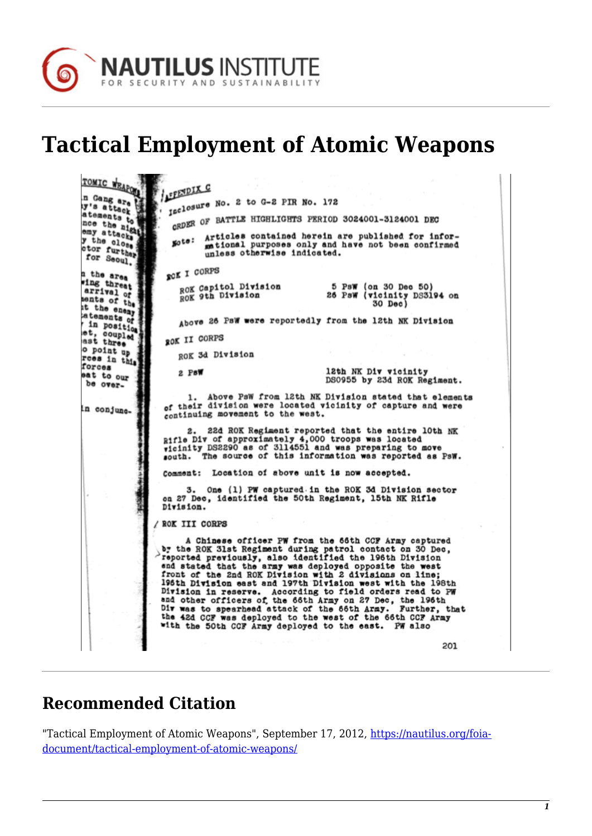

## **Tactical Employment of Atomic Weapons**

TOMIC WEAPON **FENDIX C** IFENDIALE No. 2 to G-2 PIR No. 172 atements to omy attack to discuss to the night ORDER OF BATTLE HIGHLIGHTS PERIOD 3024001-3124001 DEC nce the night<br>emy attacks<br>y the close Articles contained herein are published for infor-<br>mational purposes only and have not been confirmed goto: otor further unless otherwise indicated. **SOK I CORPS** n the area ing threat ROK Capitol Division<br>ROK 9th Division 5 PsW (on 30 Dec 50)<br>26 PsW (vicinity DS3194 on<br>30 Dec) arrival of<br>arrival of<br>sents of the sents of the<br>it the enemy<br>istements atements of Above 26 PsW were reportedly from the 12th NK Division in position et, coupled ROK II CORPS o point up ROK 3d Division roes in this forces 12th NK Div vicinity  $2.$  PsW eat to our DS0955 by 23d ROK Regiment. be over-1. Above PsW from 12th NK Division stated that elements<br>of their division were located vicinity of capture and were in conjunccontinuing movement to the west. 22d ROK Regiment reported that the entire 10th NK 2. Rifle Div of approximately 4,000 troops was located<br>vicinity DS2290 as of 3114551 and was preparing to move<br>south. The source of this information was reported as PSW. Comment: Location of above unit is now accepted. 3. One (1) PW captured in the ROK 3d Division sector on 27 Dec, identified the 50th Regiment, 15th NK Rifle Division. / ROK III CORPS A Chinese officer PW from the 66th CCF Army captured A Chinese officer PW from the 66th CCF Army captured<br>by the ROK 31st Regiment during patrol contact on 30 Dec,<br>reported previously, also identified the 196th Division<br>and stated that the army was deployed opposite the west Further, that with the 50th CCF Army deployed to the east. PW also 201

## **Recommended Citation**

"Tactical Employment of Atomic Weapons", September 17, 2012, [https://nautilus.org/foia](https://nautilus.org/foia-document/tactical-employment-of-atomic-weapons/)[document/tactical-employment-of-atomic-weapons/](https://nautilus.org/foia-document/tactical-employment-of-atomic-weapons/)